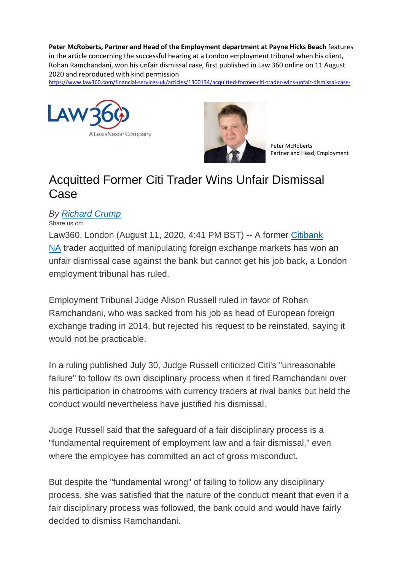**Peter McRoberts, Partner and Head of the Employment department at Payne Hicks Beach** features in the article concerning the successful hearing at a London employment tribunal when his client, Rohan Ramchandani, won his unfair dismissal case, first published in Law 360 online on 11 August 2020 and reproduced with kind permission

<https://www.law360.com/financial-services-uk/articles/1300134/acquitted-former-citi-trader-wins-unfair-dismissal-case->





Peter McRoberts Partner and Head, Employment

## Acquitted Former Citi Trader Wins Unfair Dismissal Case

## *By [Richard Crump](https://protect-eu.mimecast.com/s/NOO4C3l6MIMMpZcgeasH?domain=law360.co.uk)*

Share us on:

Law360, London (August 11, 2020, 4:41 PM BST) -- A former [Citibank](https://protect-eu.mimecast.com/s/ETeAC989VTKKk8T0I1Q5?domain=law360.co.uk)  [NA](https://protect-eu.mimecast.com/s/ETeAC989VTKKk8T0I1Q5?domain=law360.co.uk) trader acquitted of manipulating foreign exchange markets has won an unfair dismissal case against the bank but cannot get his job back, a London employment tribunal has ruled.

Employment Tribunal Judge Alison Russell ruled in favor of Rohan Ramchandani, who was sacked from his job as head of European foreign exchange trading in 2014, but rejected his request to be reinstated, saying it would not be practicable.

In a ruling published July 30, Judge Russell criticized Citi's "unreasonable failure" to follow its own disciplinary process when it fired Ramchandani over his participation in chatrooms with currency traders at rival banks but held the conduct would nevertheless have justified his dismissal.

Judge Russell said that the safeguard of a fair disciplinary process is a "fundamental requirement of employment law and a fair dismissal," even where the employee has committed an act of gross misconduct.

But despite the "fundamental wrong" of failing to follow any disciplinary process, she was satisfied that the nature of the conduct meant that even if a fair disciplinary process was followed, the bank could and would have fairly decided to dismiss Ramchandani.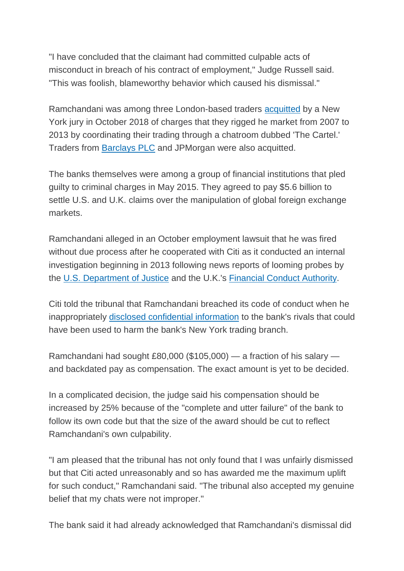"I have concluded that the claimant had committed culpable acts of misconduct in breach of his contract of employment," Judge Russell said. "This was foolish, blameworthy behavior which caused his dismissal."

Ramchandani was among three London-based traders [acquitted](https://protect-eu.mimecast.com/s/sR2aC0g8JFWWGjcrYafz?domain=law360.co.uk) by a New York jury in October 2018 of charges that they rigged he market from 2007 to 2013 by coordinating their trading through a chatroom dubbed 'The Cartel.' Traders from [Barclays PLC](https://protect-eu.mimecast.com/s/gb6yCg5pltWWA8cyk_QG?domain=law360.co.uk) and JPMorgan were also acquitted.

The banks themselves were among a group of financial institutions that pled guilty to criminal charges in May 2015. They agreed to pay \$5.6 billion to settle U.S. and U.K. claims over the manipulation of global foreign exchange markets.

Ramchandani alleged in an October employment lawsuit that he was fired without due process after he cooperated with Citi as it conducted an internal investigation beginning in 2013 following news reports of looming probes by the [U.S. Department of Justice](https://protect-eu.mimecast.com/s/vZgJCj2YocJJngUYZe2n?domain=law360.co.uk) and the U.K.'s [Financial Conduct Authority.](https://protect-eu.mimecast.com/s/62teCk52pt00OgSyvLfJ?domain=law360.co.uk)

Citi told the tribunal that Ramchandani breached its code of conduct when he inappropriately [disclosed confidential information](https://protect-eu.mimecast.com/s/kq9_ClORquKK2LTDigbn?domain=law360.co.uk) to the bank's rivals that could have been used to harm the bank's New York trading branch.

Ramchandani had sought £80,000 (\$105,000) — a fraction of his salary and backdated pay as compensation. The exact amount is yet to be decided.

In a complicated decision, the judge said his compensation should be increased by 25% because of the "complete and utter failure" of the bank to follow its own code but that the size of the award should be cut to reflect Ramchandani's own culpability.

"I am pleased that the tribunal has not only found that I was unfairly dismissed but that Citi acted unreasonably and so has awarded me the maximum uplift for such conduct," Ramchandani said. "The tribunal also accepted my genuine belief that my chats were not improper."

The bank said it had already acknowledged that Ramchandani's dismissal did